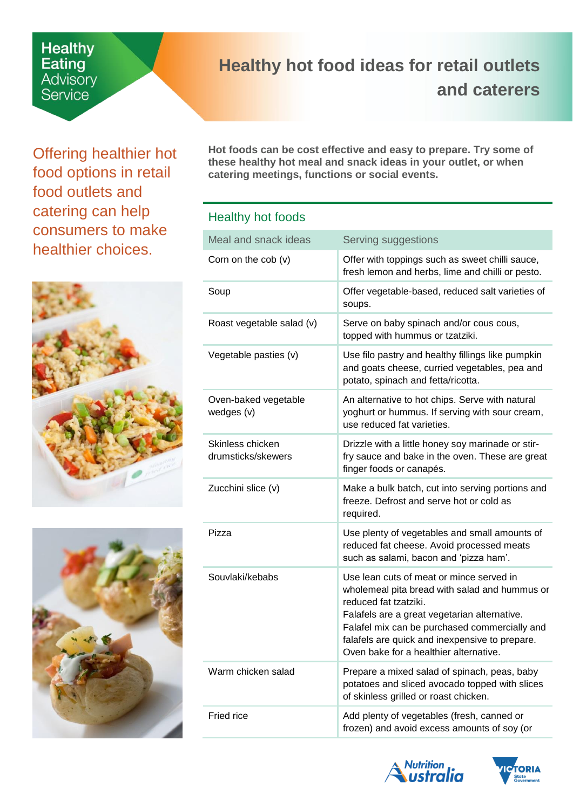# **Healthy**<br>Eating Advisory Service

## <span id="page-0-0"></span>**Healthy hot food ideas for retail outlets and caterers**

Offering healthier hot food options in retail food outlets and catering can help consumers to make healthier choices.





**Hot foods can be cost effective and easy to prepare. Try some of these healthy hot meal and snack ideas in your outlet, or when catering meetings, functions or social events.** 

### Healthy hot foods

| Meal and snack ideas                   | Serving suggestions                                                                                                                                                                                                                                                                                             |
|----------------------------------------|-----------------------------------------------------------------------------------------------------------------------------------------------------------------------------------------------------------------------------------------------------------------------------------------------------------------|
| Corn on the $\cosh(v)$                 | Offer with toppings such as sweet chilli sauce,<br>fresh lemon and herbs, lime and chilli or pesto.                                                                                                                                                                                                             |
| Soup                                   | Offer vegetable-based, reduced salt varieties of<br>soups.                                                                                                                                                                                                                                                      |
| Roast vegetable salad (v)              | Serve on baby spinach and/or cous cous,<br>topped with hummus or tzatziki.                                                                                                                                                                                                                                      |
| Vegetable pasties (v)                  | Use filo pastry and healthy fillings like pumpkin<br>and goats cheese, curried vegetables, pea and<br>potato, spinach and fetta/ricotta.                                                                                                                                                                        |
| Oven-baked vegetable<br>wedges (v)     | An alternative to hot chips. Serve with natural<br>yoghurt or hummus. If serving with sour cream,<br>use reduced fat varieties.                                                                                                                                                                                 |
| Skinless chicken<br>drumsticks/skewers | Drizzle with a little honey soy marinade or stir-<br>fry sauce and bake in the oven. These are great<br>finger foods or canapés.                                                                                                                                                                                |
| Zucchini slice (v)                     | Make a bulk batch, cut into serving portions and<br>freeze. Defrost and serve hot or cold as<br>required.                                                                                                                                                                                                       |
| Pizza                                  | Use plenty of vegetables and small amounts of<br>reduced fat cheese. Avoid processed meats<br>such as salami, bacon and 'pizza ham'.                                                                                                                                                                            |
| Souvlaki/kebabs                        | Use lean cuts of meat or mince served in<br>wholemeal pita bread with salad and hummus or<br>reduced fat tzatziki.<br>Falafels are a great vegetarian alternative.<br>Falafel mix can be purchased commercially and<br>falafels are quick and inexpensive to prepare.<br>Oven bake for a healthier alternative. |
| Warm chicken salad                     | Prepare a mixed salad of spinach, peas, baby<br>potatoes and sliced avocado topped with slices<br>of skinless grilled or roast chicken.                                                                                                                                                                         |
| Fried rice                             | Add plenty of vegetables (fresh, canned or<br>frozen) and avoid excess amounts of soy (or                                                                                                                                                                                                                       |